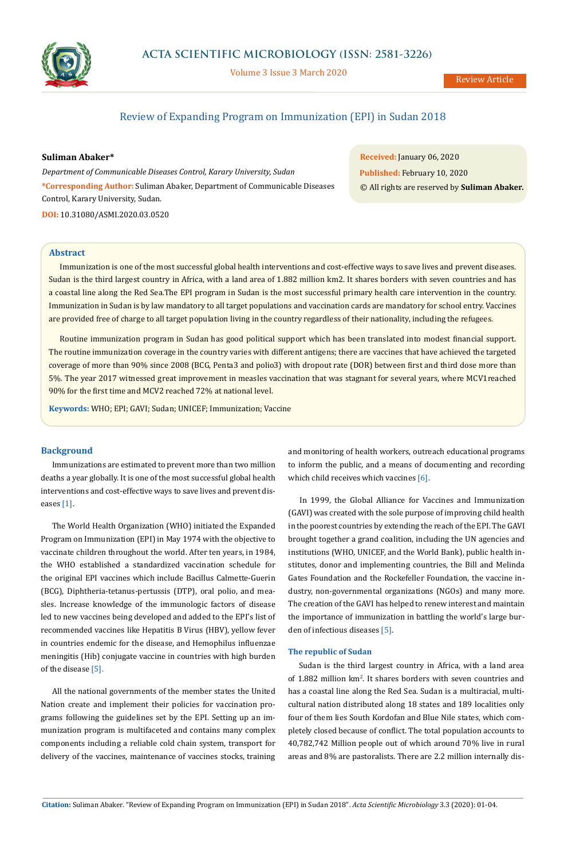

# **ACTA SCIENTIFIC MICROBIOLOGY (ISSN: 2581-3226)**

Volume 3 Issue 3 March 2020

Review Article

# Review of Expanding Program on Immunization (EPI) in Sudan 2018

**Suliman Abaker\***

*Department of Communicable Diseases Control, Karary University, Sudan* **\*Corresponding Author:** Suliman Abaker, Department of Communicable Diseases Control, Karary University, Sudan.

**DOI:** [10.31080/ASMI.2020.03.0520](https://actascientific.com/ASMI/pdf/ASMI-03-0520.pdf)

**Received:** January 06, 2020 **Published:** February 10, 2020 © All rights are reserved by **Suliman Abaker***.*

#### **Abstract**

Immunization is one of the most successful global health interventions and cost-effective ways to save lives and prevent diseases. Sudan is the third largest country in Africa, with a land area of 1.882 million km2. It shares borders with seven countries and has a coastal line along the Red Sea.The EPI program in Sudan is the most successful primary health care intervention in the country. Immunization in Sudan is by law mandatory to all target populations and vaccination cards are mandatory for school entry. Vaccines are provided free of charge to all target population living in the country regardless of their nationality, including the refugees.

Routine immunization program in Sudan has good political support which has been translated into modest financial support. The routine immunization coverage in the country varies with different antigens; there are vaccines that have achieved the targeted coverage of more than 90% since 2008 (BCG, Penta3 and polio3) with dropout rate (DOR) between first and third dose more than 5%. The year 2017 witnessed great improvement in measles vaccination that was stagnant for several years, where MCV1reached 90% for the first time and MCV2 reached 72% at national level.

**Keywords:** WHO; EPI; GAVI; Sudan; UNICEF; Immunization; Vaccine

### **Background**

Immunizations are estimated to prevent more than two million deaths a year globally. It is one of the most successful global health interventions and cost-effective ways to save lives and prevent diseases [1].

The World Health Organization (WHO) initiated the Expanded Program on Immunization (EPI) in May 1974 with the objective to vaccinate children throughout the world. After ten years, in 1984, the WHO established a standardized vaccination schedule for the original EPI vaccines which include Bacillus Calmette-Guerin (BCG), Diphtheria-tetanus-pertussis (DTP), oral polio, and measles. Increase knowledge of the immunologic factors of disease led to new vaccines being developed and added to the EPI's list of recommended vaccines like Hepatitis B Virus (HBV), yellow fever in countries endemic for the disease, and Hemophilus influenzae meningitis (Hib) conjugate vaccine in countries with high burden of the disease [5].

All the national governments of the member states the United Nation create and implement their policies for vaccination programs following the guidelines set by the EPI. Setting up an immunization program is multifaceted and contains many complex components including a reliable cold chain system, transport for delivery of the vaccines, maintenance of vaccines stocks, training and monitoring of health workers, outreach educational programs to inform the public, and a means of documenting and recording which child receives which vaccines [6].

In 1999, the Global Alliance for Vaccines and Immunization (GAVI) was created with the sole purpose of improving child health in the poorest countries by extending the reach of the EPI. The GAVI brought together a grand coalition, including the UN agencies and institutions (WHO, UNICEF, and the World Bank), public health institutes, donor and implementing countries, the Bill and Melinda Gates Foundation and the Rockefeller Foundation, the vaccine industry, non-governmental organizations (NGOs) and many more. The creation of the GAVI has helped to renew interest and maintain the importance of immunization in battling the world's large burden of infectious diseases [5].

### **The republic of Sudan**

Sudan is the third largest country in Africa, with a land area of 1.882 million km<sup>2</sup>. It shares borders with seven countries and has a coastal line along the Red Sea. Sudan is a multiracial, multicultural nation distributed along 18 states and 189 localities only four of them lies South Kordofan and Blue Nile states, which completely closed because of conflict. The total population accounts to 40,782,742 Million people out of which around 70% live in rural areas and 8% are pastoralists. There are 2.2 million internally dis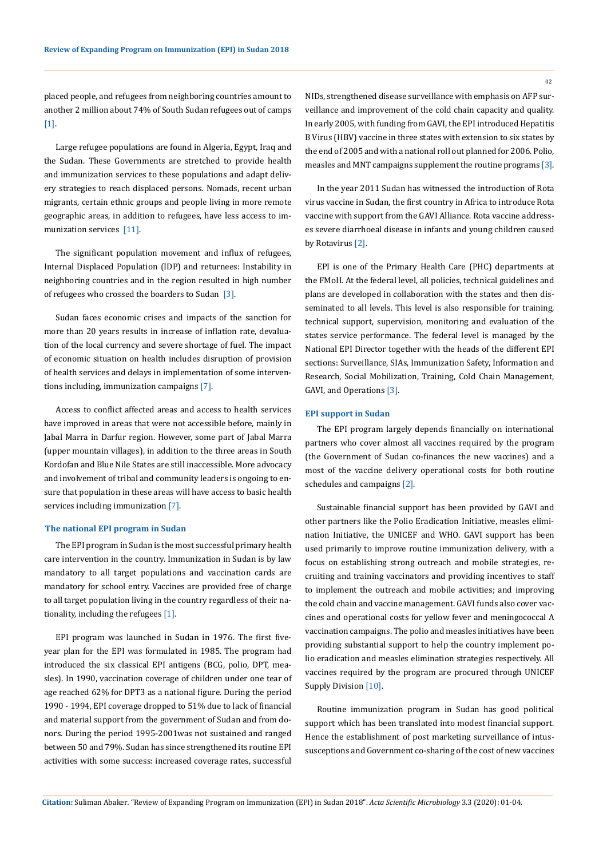placed people, and refugees from neighboring countries amount to another 2 million about 74% of South Sudan refugees out of camps [1].

Large refugee populations are found in Algeria, Egypt, Iraq and the Sudan. These Governments are stretched to provide health and immunization services to these populations and adapt delivery strategies to reach displaced persons. Nomads, recent urban migrants, certain ethnic groups and people living in more remote geographic areas, in addition to refugees, have less access to immunization services [11].

The significant population movement and influx of refugees, Internal Displaced Population (IDP) and returnees: Instability in neighboring countries and in the region resulted in high number of refugees who crossed the boarders to Sudan  $[3]$ .

Sudan faces economic crises and impacts of the sanction for more than 20 years results in increase of inflation rate, devaluation of the local currency and severe shortage of fuel. The impact of economic situation on health includes disruption of provision of health services and delays in implementation of some interventions including, immunization campaigns [7].

Access to conflict affected areas and access to health services have improved in areas that were not accessible before, mainly in Jabal Marra in Darfur region. However, some part of Jabal Marra (upper mountain villages), in addition to the three areas in South Kordofan and Blue Nile States are still inaccessible. More advocacy and involvement of tribal and community leaders is ongoing to ensure that population in these areas will have access to basic health services including immunization [7].

#### **The national EPI program in Sudan**

The EPI program in Sudan is the most successful primary health care intervention in the country. Immunization in Sudan is by law mandatory to all target populations and vaccination cards are mandatory for school entry. Vaccines are provided free of charge to all target population living in the country regardless of their nationality, including the refugees [1].

EPI program was launched in Sudan in 1976. The first fiveyear plan for the EPI was formulated in 1985. The program had introduced the six classical EPI antigens (BCG, polio, DPT, measles). In 1990, vaccination coverage of children under one tear of age reached 62% for DPT3 as a national figure. During the period 1990 - 1994, EPI coverage dropped to 51% due to lack of financial and material support from the government of Sudan and from donors. During the period 1995-2001was not sustained and ranged between 50 and 79%. Sudan has since strengthened its routine EPI activities with some success: increased coverage rates, successful NIDs, strengthened disease surveillance with emphasis on AFP surveillance and improvement of the cold chain capacity and quality. In early 2005, with funding from GAVI, the EPI introduced Hepatitis B Virus (HBV) vaccine in three states with extension to six states by the end of 2005 and with a national roll out planned for 2006. Polio, measles and MNT campaigns supplement the routine programs [3].

In the year 2011 Sudan has witnessed the introduction of Rota virus vaccine in Sudan, the first country in Africa to introduce Rota vaccine with support from the GAVI Alliance. Rota vaccine addresses severe diarrhoeal disease in infants and young children caused by Rotavirus [2].

EPI is one of the Primary Health Care (PHC) departments at the FMoH. At the federal level, all policies, technical guidelines and plans are developed in collaboration with the states and then disseminated to all levels. This level is also responsible for training, technical support, supervision, monitoring and evaluation of the states service performance. The federal level is managed by the National EPI Director together with the heads of the different EPI sections: Surveillance, SIAs, Immunization Safety, Information and Research, Social Mobilization, Training, Cold Chain Management, GAVI, and Operations [3].

#### **EPI support in Sudan**

The EPI program largely depends financially on international partners who cover almost all vaccines required by the program (the Government of Sudan co-finances the new vaccines) and a most of the vaccine delivery operational costs for both routine schedules and campaigns [2].

Sustainable financial support has been provided by GAVI and other partners like the Polio Eradication Initiative, measles elimination Initiative, the UNICEF and WHO. GAVI support has been used primarily to improve routine immunization delivery, with a focus on establishing strong outreach and mobile strategies, recruiting and training vaccinators and providing incentives to staff to implement the outreach and mobile activities; and improving the cold chain and vaccine management. GAVI funds also cover vaccines and operational costs for yellow fever and meningococcal A vaccination campaigns. The polio and measles initiatives have been providing substantial support to help the country implement polio eradication and measles elimination strategies respectively. All vaccines required by the program are procured through UNICEF Supply Division [10].

Routine immunization program in Sudan has good political support which has been translated into modest financial support. Hence the establishment of post marketing surveillance of intussusceptions and Government co-sharing of the cost of new vaccines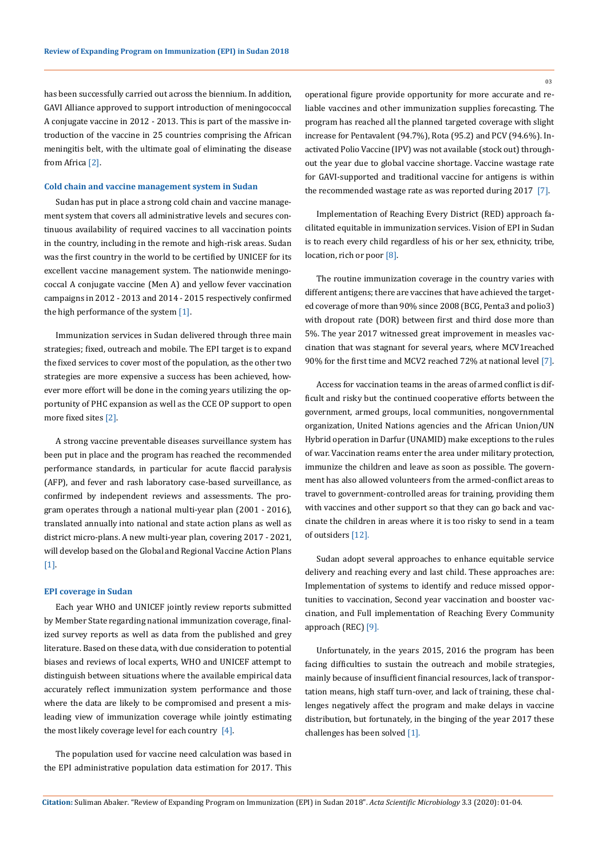has been successfully carried out across the biennium. In addition, GAVI Alliance approved to support introduction of meningococcal A conjugate vaccine in 2012 - 2013. This is part of the massive introduction of the vaccine in 25 countries comprising the African meningitis belt, with the ultimate goal of eliminating the disease from Africa [2].

#### **Cold chain and vaccine management system in Sudan**

Sudan has put in place a strong cold chain and vaccine management system that covers all administrative levels and secures continuous availability of required vaccines to all vaccination points in the country, including in the remote and high-risk areas. Sudan was the first country in the world to be certified by UNICEF for its excellent vaccine management system. The nationwide meningococcal A conjugate vaccine (Men A) and yellow fever vaccination campaigns in 2012 - 2013 and 2014 - 2015 respectively confirmed the high performance of the system [1].

Immunization services in Sudan delivered through three main strategies; fixed, outreach and mobile. The EPI target is to expand the fixed services to cover most of the population, as the other two strategies are more expensive a success has been achieved, however more effort will be done in the coming years utilizing the opportunity of PHC expansion as well as the CCE OP support to open more fixed sites [2].

A strong vaccine preventable diseases surveillance system has been put in place and the program has reached the recommended performance standards, in particular for acute flaccid paralysis (AFP), and fever and rash laboratory case-based surveillance, as confirmed by independent reviews and assessments. The program operates through a national multi-year plan (2001 - 2016), translated annually into national and state action plans as well as district micro-plans. A new multi-year plan, covering 2017 - 2021, will develop based on the Global and Regional Vaccine Action Plans [1].

#### **EPI coverage in Sudan**

Each year WHO and UNICEF jointly review reports submitted by Member State regarding national immunization coverage, finalized survey reports as well as data from the published and grey literature. Based on these data, with due consideration to potential biases and reviews of local experts, WHO and UNICEF attempt to distinguish between situations where the available empirical data accurately reflect immunization system performance and those where the data are likely to be compromised and present a misleading view of immunization coverage while jointly estimating the most likely coverage level for each country [4].

The population used for vaccine need calculation was based in the EPI administrative population data estimation for 2017. This operational figure provide opportunity for more accurate and reliable vaccines and other immunization supplies forecasting. The program has reached all the planned targeted coverage with slight increase for Pentavalent (94.7%), Rota (95.2) and PCV (94.6%). Inactivated Polio Vaccine (IPV) was not available (stock out) throughout the year due to global vaccine shortage. Vaccine wastage rate for GAVI-supported and traditional vaccine for antigens is within the recommended wastage rate as was reported during 2017 [7].

Implementation of Reaching Every District (RED) approach facilitated equitable in immunization services. Vision of EPI in Sudan is to reach every child regardless of his or her sex, ethnicity, tribe, location, rich or poor [8].

The routine immunization coverage in the country varies with different antigens; there are vaccines that have achieved the targeted coverage of more than 90% since 2008 (BCG, Penta3 and polio3) with dropout rate (DOR) between first and third dose more than 5%. The year 2017 witnessed great improvement in measles vaccination that was stagnant for several years, where MCV1reached 90% for the first time and MCV2 reached 72% at national level [7].

Access for vaccination teams in the areas of armed conflict is difficult and risky but the continued cooperative efforts between the government, armed groups, local communities, nongovernmental organization, United Nations agencies and the African Union/UN Hybrid operation in Darfur (UNAMID) make exceptions to the rules of war. Vaccination reams enter the area under military protection, immunize the children and leave as soon as possible. The government has also allowed volunteers from the armed-conflict areas to travel to government-controlled areas for training, providing them with vaccines and other support so that they can go back and vaccinate the children in areas where it is too risky to send in a team of outsiders [12].

Sudan adopt several approaches to enhance equitable service delivery and reaching every and last child. These approaches are: Implementation of systems to identify and reduce missed opportunities to vaccination, Second year vaccination and booster vaccination, and Full implementation of Reaching Every Community approach (REC) [9].

Unfortunately, in the years 2015, 2016 the program has been facing difficulties to sustain the outreach and mobile strategies, mainly because of insufficient financial resources, lack of transportation means, high staff turn-over, and lack of training, these challenges negatively affect the program and make delays in vaccine distribution, but fortunately, in the binging of the year 2017 these challenges has been solved [1].

03